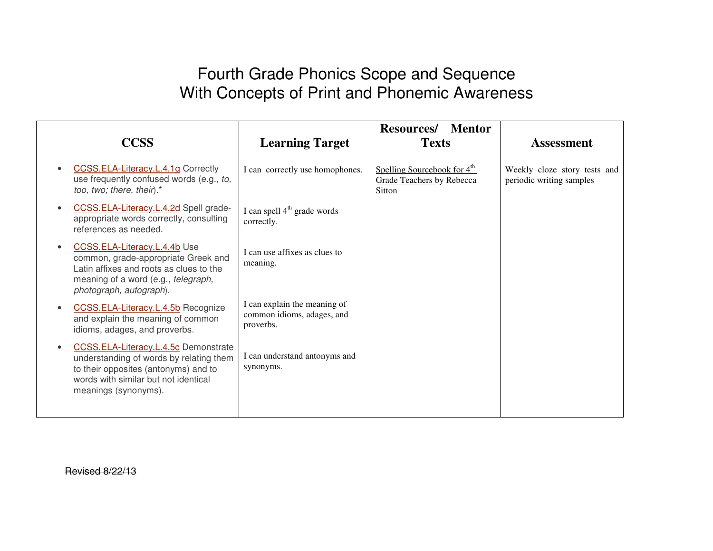## Fourth Grade Phonics Scope and Sequence With Concepts of Print and Phonemic Awareness

| <b>CCSS</b>                                                                                                                                                                             | <b>Learning Target</b>                                                  | <b>Resources/</b><br><b>Mentor</b><br><b>Texts</b>                                    | <b>Assessment</b>                                        |
|-----------------------------------------------------------------------------------------------------------------------------------------------------------------------------------------|-------------------------------------------------------------------------|---------------------------------------------------------------------------------------|----------------------------------------------------------|
| CCSS.ELA-Literacy.L.4.1g Correctly<br>use frequently confused words (e.g., to,<br>too, two; there, their).*                                                                             | I can correctly use homophones.                                         | Spelling Sourcebook for 4 <sup>th</sup><br><b>Grade Teachers by Rebecca</b><br>Sitton | Weekly cloze story tests and<br>periodic writing samples |
| CCSS.ELA-Literacy.L.4.2d Spell grade-<br>appropriate words correctly, consulting<br>references as needed.                                                                               | I can spell $4th$ grade words<br>correctly.                             |                                                                                       |                                                          |
| CCSS.ELA-Literacy.L.4.4b Use<br>common, grade-appropriate Greek and<br>Latin affixes and roots as clues to the<br>meaning of a word (e.g., telegraph,<br>photograph, autograph).        | I can use affixes as clues to<br>meaning.                               |                                                                                       |                                                          |
| CCSS.ELA-Literacy.L.4.5b Recognize<br>and explain the meaning of common<br>idioms, adages, and proverbs.                                                                                | I can explain the meaning of<br>common idioms, adages, and<br>proverbs. |                                                                                       |                                                          |
| CCSS.ELA-Literacy.L.4.5c Demonstrate<br>understanding of words by relating them<br>to their opposites (antonyms) and to<br>words with similar but not identical<br>meanings (synonyms). | I can understand antonyms and<br>synonyms.                              |                                                                                       |                                                          |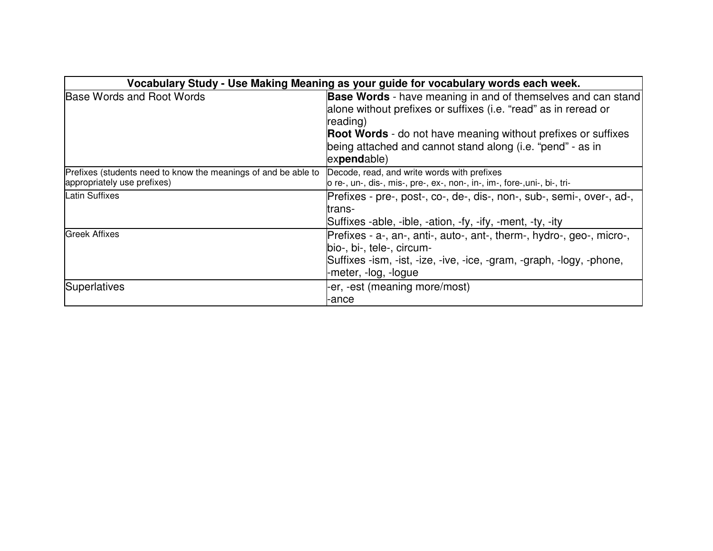| Vocabulary Study - Use Making Meaning as your guide for vocabulary words each week.           |                                                                                                                                                                                                                                                                                                         |  |  |  |  |
|-----------------------------------------------------------------------------------------------|---------------------------------------------------------------------------------------------------------------------------------------------------------------------------------------------------------------------------------------------------------------------------------------------------------|--|--|--|--|
| <b>Base Words and Root Words</b>                                                              | <b>Base Words</b> - have meaning in and of themselves and can stand<br>alone without prefixes or suffixes (i.e. "read" as in reread or<br>reading)<br><b>Root Words</b> - do not have meaning without prefixes or suffixes<br>being attached and cannot stand along (i.e. "pend" - as in<br>expendable) |  |  |  |  |
| Prefixes (students need to know the meanings of and be able to<br>appropriately use prefixes) | Decode, read, and write words with prefixes<br>lo re-, un-, dis-, mis-, pre-, ex-, non-, in-, im-, fore-, uni-, bi-, tri-                                                                                                                                                                               |  |  |  |  |
| <b>Latin Suffixes</b>                                                                         | Prefixes - pre-, post-, co-, de-, dis-, non-, sub-, semi-, over-, ad-,<br>trans-<br>Suffixes -able, -ible, -ation, -fy, -ify, -ment, -ty, -ity                                                                                                                                                          |  |  |  |  |
| <b>Greek Affixes</b>                                                                          | Prefixes - a-, an-, anti-, auto-, ant-, therm-, hydro-, geo-, micro-,<br>bio-, bi-, tele-, circum-<br>Suffixes -ism, -ist, -ize, -ive, -ice, -gram, -graph, -logy, -phone,<br>-meter, -log, -logue                                                                                                      |  |  |  |  |
| Superlatives                                                                                  | -er, -est (meaning more/most)<br>-ance                                                                                                                                                                                                                                                                  |  |  |  |  |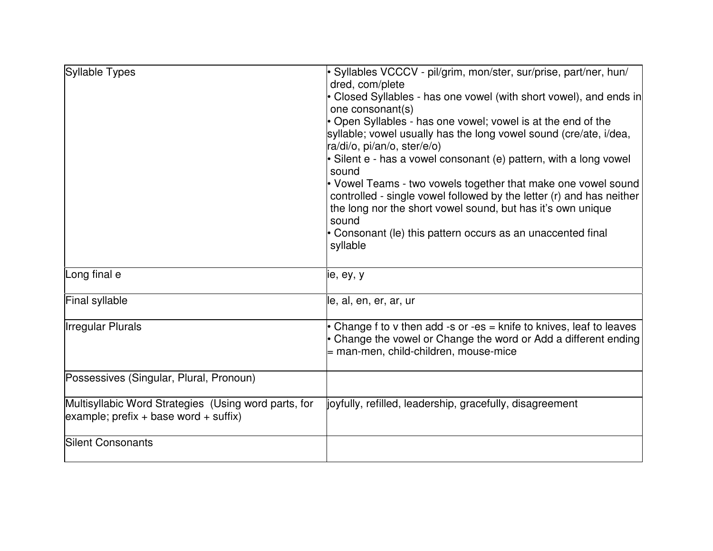| Syllable Types                                                                                         | · Syllables VCCCV - pil/grim, mon/ster, sur/prise, part/ner, hun/<br>dred, com/plete                                                                                                                                                                                                     |  |  |  |
|--------------------------------------------------------------------------------------------------------|------------------------------------------------------------------------------------------------------------------------------------------------------------------------------------------------------------------------------------------------------------------------------------------|--|--|--|
|                                                                                                        | • Closed Syllables - has one vowel (with short vowel), and ends in<br>one consonant(s)                                                                                                                                                                                                   |  |  |  |
|                                                                                                        | • Open Syllables - has one vowel; vowel is at the end of the<br>syllable; vowel usually has the long vowel sound (cre/ate, i/dea,<br>ra/di/o, pi/an/o, ster/e/o)                                                                                                                         |  |  |  |
|                                                                                                        | · Silent e - has a vowel consonant (e) pattern, with a long vowel<br>sound                                                                                                                                                                                                               |  |  |  |
|                                                                                                        | • Vowel Teams - two vowels together that make one vowel sound<br>controlled - single vowel followed by the letter (r) and has neither<br>the long nor the short vowel sound, but has it's own unique<br>sound<br>• Consonant (le) this pattern occurs as an unaccented final<br>syllable |  |  |  |
| Long final e                                                                                           |                                                                                                                                                                                                                                                                                          |  |  |  |
|                                                                                                        | ie, ey, y                                                                                                                                                                                                                                                                                |  |  |  |
| Final syllable                                                                                         | le, al, en, er, ar, ur                                                                                                                                                                                                                                                                   |  |  |  |
| <b>Irregular Plurals</b>                                                                               | • Change f to v then add -s or -es = knife to knives, leaf to leaves<br>• Change the vowel or Change the word or Add a different ending<br>= man-men, child-children, mouse-mice                                                                                                         |  |  |  |
| Possessives (Singular, Plural, Pronoun)                                                                |                                                                                                                                                                                                                                                                                          |  |  |  |
| Multisyllabic Word Strategies (Using word parts, for<br>$\alpha$ example; prefix + base word + suffix) | joyfully, refilled, leadership, gracefully, disagreement                                                                                                                                                                                                                                 |  |  |  |
| <b>Silent Consonants</b>                                                                               |                                                                                                                                                                                                                                                                                          |  |  |  |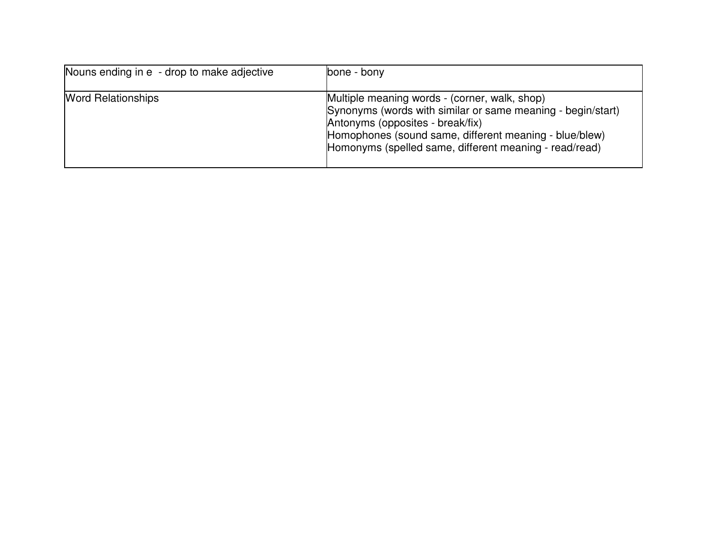| Nouns ending in e - drop to make adjective | bone - bony                                                                                                                                                                                                                                                          |
|--------------------------------------------|----------------------------------------------------------------------------------------------------------------------------------------------------------------------------------------------------------------------------------------------------------------------|
| <b>Word Relationships</b>                  | Multiple meaning words - (corner, walk, shop)<br>Synonyms (words with similar or same meaning - begin/start)<br>Antonyms (opposites - break/fix)<br>Homophones (sound same, different meaning - blue/blew)<br>Homonyms (spelled same, different meaning - read/read) |